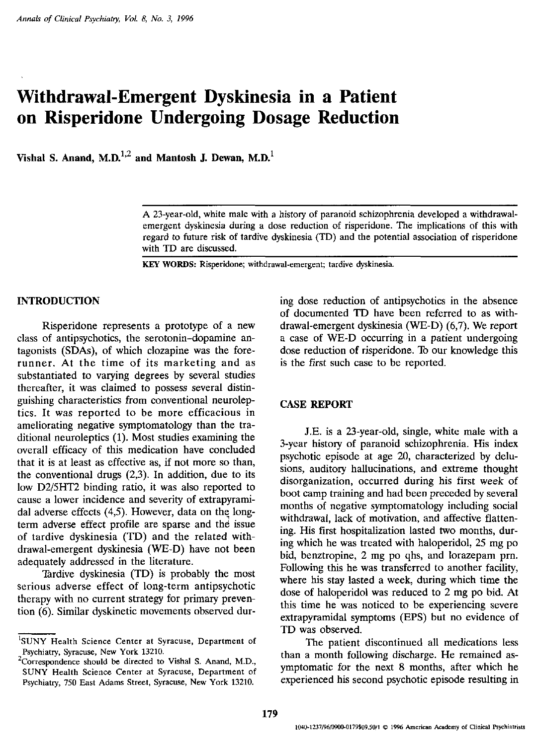# **Withdrawal-Emergent Dyskinesia in a Patient on Risperidone Undergoing Dosage Reduction**

Vishal S. Anand, M.D. $^{1,2}$  and Mantosh J. Dewan, M.D. $^{1}$ 

KEY WORDS: Risperidone; withdrawal-emergent; tardive dyskinesia.

## INTRODUCTION

Risperidone represents a prototype of a new class of antipsychotics, the serotonin-dopamine antagonists (SDAs), of which clozapine was the forerunner. At the time of its marketing and as substantiated to varying degrees by several studies thereafter, it was claimed to possess several distinguishing characteristics from conventional neuroleptics. It was reported to be more efficacious in ameliorating negative symptomatology than the traditional neuroleptics (1). Most studies examining the overall efficacy of this medication have concluded that it is at least as effective as, if not more so than, the conventional drugs (2,3). In addition, due to its low D2/5HT2 binding ratio, it was also reported to cause a lower incidence and severity of extrapyramidal adverse effects (4,5). However, data on the longterm adverse effect profile are sparse and the issue of tardive dyskinesia (TD) and the related withdrawal-emergent dyskinesia (WE-D) have not been adequately addressed in the literature.

Tardive dyskinesia (TD) is probably the most serious adverse effect of long-term antipsychotic therapy with no current strategy for primary prevention (6). Similar dyskinetic movements observed during dose reduction of antipsychotics in the absence of documented TO have been referred to as withdrawal-emergent dyskinesia (WE-D) (6,7). We report a case of WE-D occurring in a patient undergoing dose reduction of risperidone. To our knowledge this is the first such case to be reported.

### CASE REPORT

J.E. is a 23-year-old, single, white male with a 3-year history of paranoid schizophrenia. His index psychotic episode at age 20, characterized by delusions, auditory hallucinations, and extreme thought disorganization, occurred during his first week of boot camp training and had been preceded by several months of negative symptomatology including social withdrawal, lack of motivation, and affective flattening. His first hospitalization lasted two months, during which he was treated with haloperidol, 25 mg po bid, benztropine, 2 mg po qhs, and lorazepam pm. Following this he was transferred to another facility, where his stay lasted a week, during which time the dose of haloperidol was reduced to 2 mg po bid. At this time he was noticed to be experiencing severe extrapyramidal symptoms (EPS) but no evidence of TD was observed.

The patient discontinued all medications less than a month following discharge. He remained asymptomatic for the next 8 months, after which he experienced his second psychotic episode resulting in

A 23-year-old, white male with a history of paranoid schizophrenia developed a withdrawalemergent dyskinesia during a dose reduction of risperidone. 'The implications of this with regard *to* future risk of tardive dyskinesia (TD) and the potential association of risperidone with TD are discussed.

<sup>&</sup>lt;sup>1</sup>SUNY Health Science Center at Syracuse, Department of Psychiatry, Syracuse, New York 13210.

<sup>&</sup>lt;sup>2</sup>Correspondence should be directed to Vishal S. Anand, M.D., SUNY Health Science Center at Syracuse, Department of Psychiatry, 750 East Adams Street, Syracuse, New York 13210.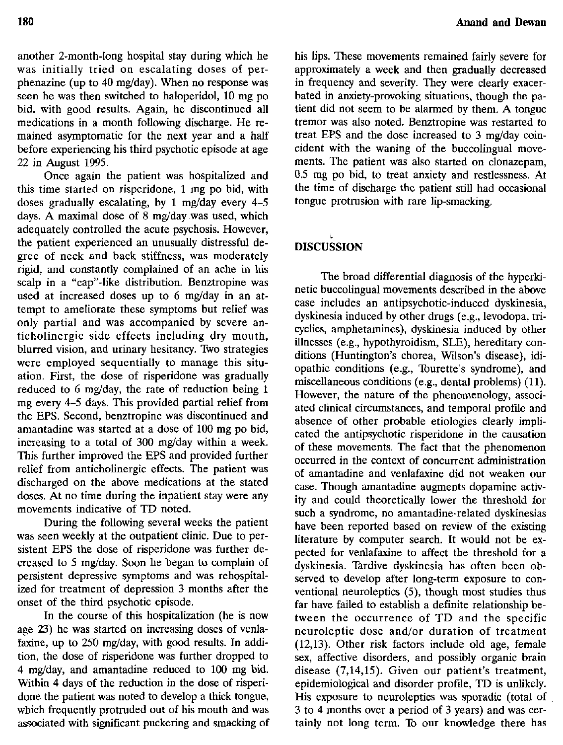another 2-month-Iong hospital stay during which he was initially tried on escalating doses of perphenazine (up to 40 mg/day), When no response was seen he was then switched to haloperidol, 10 mg po bid. with good results. Again, he discontinued all medications in a month following discharge. He remained asymptomatic for the next year and a half before experiencing his third psychotic episode at age 22 in August 1995.

Once again the patient was hospitalized and this time started on risperidone, 1 mg po bid, with doses gradually escalating, by 1 mg/day every 4-5 days. A maximal dose of 8 mg/day was used, which adequately controlled the acute psychosis. However, the patient experienced an unusually distressful degree of neck and back stiffness, was moderately rigid, and constantly complained of an ache in his scalp in a "cap"-like distribution. Benztropine was used at increased doses up to 6 mg/day in an attempt to ameliorate these symptoms but relief was only partial and was accompanied by severe anticholinergic side effects including dry mouth, blurred vision, and urinary hesitancy. Two strategies were employed sequentially to manage this situation. First, the dose of risperidone was gradually reduced to 6 mg/day, the rate of reduction being 1 mg every 4-5 days. This provided partial relief from the EPS. Second, benztropine was discontinued and amantadine was started at a dose of 100 mg po bid, increasing to a total of 300 mg/day within a week. This further improved the EPS and provided further relief from anticholinergic effects. The patient was discharged on the above medications at the stated doses. At no time during the inpatient stay were any movements indicative of TD noted.

During the following several weeks the patient was seen weekly at the outpatient clinic. Due to persistent EPS the dose of risperidone was further decreased to 5 mg/day. Soon he began to complain of persistent depressive symptoms and was rehospitalized for treatment of depression 3 months after the onset of the third psychotic episode.

In the course of this hospitalization (he is now age 23) he was started on increasing doses of venlafaxine, up to 250 mg/day, with good results. In addition, the dose of risperidone was further dropped to 4 mg/day, and amantadine reduced to 100 rng bid. Within 4 days of the reduction in the dose of risperidone the patient was noted to develop a thick tongue, which frequently protruded out of his mouth and was associated with significant puckering and smacking of

his lips. These movements remained fairly severe for approximately a week and then gradually decreased in frequency and severity. They were clearly exacerbated in anxiety-provoking situations, though the patient did not seem to be alarmed by them. A tongue tremor was also noted. Benztropine was restarted to treat EPS and the dose increased to 3 mg/day coincident with the waning of the buccolingual movements. The patient was also started on clonazepam, 0.5 mg po bid, to treat anxiety and restlessness. At the time of discharge the patient still had occasional tongue protrusion with rare lip-smacking.

## DISCUSSION

The broad differential diagnosis of the hyperkinetic buccolingual movements described in the above case includes an antipsychotic-induced dyskinesia, dyskinesia induced by other drugs (e.g., levodopa, tricyclics, amphetamines), dyskinesia induced by other illnesses (e.g., hypothyroidism, SLE), hereditary conditions (Huntington's chorea, Wilson's disease), idiopathic conditions (e.g., Tourette's syndrome), and miscellaneous conditions (e.g., dental problems) (11). However, the nature of the phenomenology, associated clinical circumstances, and temporal profile and absence of other probable etiologies clearly implicated the antipsychotic risperidone in the causation of these movements. The fact that the phenomenon occurred in the context of concurrent administration of amantadine and venlafaxine did not weaken our case. Though amantadine augments dopamine activity and could theoretically lower the threshold for such a syndrome, no amantadine-related dyskinesias have been reported based on review of the existing literature by computer search. It would not be expected for venlafaxine to affect the threshold for a dyskinesia. Tardive dyskinesia has often been observed to develop after long-term exposure to conventional neuroleptics (5), though most studies thus far have failed to establish a definite relationship between the occurrence of TD and the specific neuroleptic dose and/or duration of treatment (12,13). Other risk factors include old age, female sex, affective disorders, and possibly organic brain disease (7,14,15). Given our patient's treatment, epidemiological and disorder profile, TD is unlikely. His exposure to neuroleptics was sporadic (total of , 3 to 4 months over a period of 3 years) and was certainly not long term. To our knowledge there has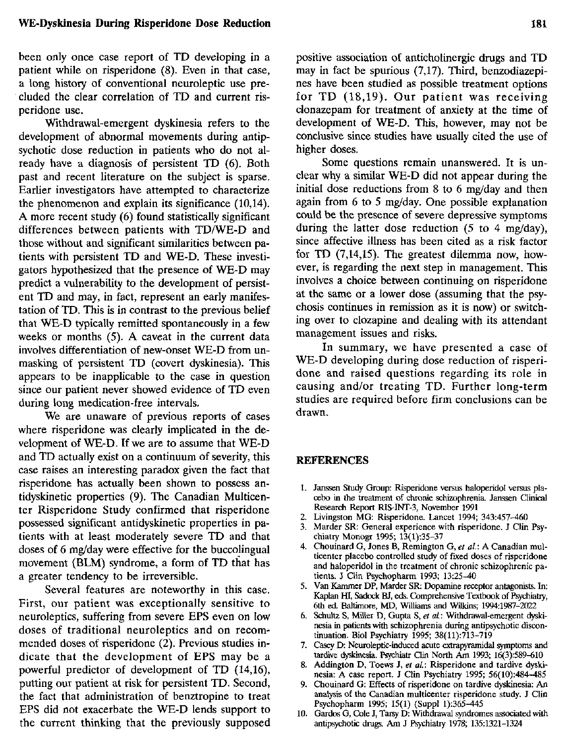## WE-Dyskinesia During Risperidone Dose Reduction

been only once case report of TD developing in a patient while on risperidone (8). Even in that case, a long history of conventional neuroleptic use pre cluded the clear correlation of TD and current risperidone use.

Withdrawal-emergent dyskinesia refers to the development of abnormal movements during antipsychotic dose reduction in patients who do not already have a diagnosis of persistent TD (6). Both past and recent literature on the subject is sparse. Earlier investigators have attempted to characterize the phenomenon and explain its significance (10,14). A more recent study (6) found statistically significant differences between patients with TD/WE-D and those without and significant similarities between patients with persistent TO and WE-D. These investigators hypothesized that the presence of WE-O may predict a vulnerability to the development of persistent TD and may, in fact, represent an early manifestation of TO. This is in contrast to the previous belief that WE-D typically remitted spontaneously in a few weeks or months (5). A caveat in the current data involves differentiation of new-onset WE-D from unmasking of persistent TO (covert dyskinesia). This appears to be inapplicable to the case in question since our patient never showed evidence of TO even during long medication-free intervals.

We are unaware of previous reports of cases where risperidone was clearly implicated in the development of WE-D. If we are to assume that WE-D and TO actually exist on a continuum of severity, this case raises an interesting paradox given the fact that risperidone has actually been shown to possess antidyskinetic properties (9). The Canadian Multicenter Risperidone Study confirmed that risperidone possessed significant antidyskinetic properties in patients with at least moderately severe TO and that doses of 6 mg/day were effective for the buccolingual movement (BLM) syndrome, a form of TO that has a greater tendency to be irreversible.

Several features are noteworthy in this case. First, our patient was exceptionally sensitive to neuroleptics, suffering from severe EPS even on low doses of traditional neuroleptics and on recommended doses of risperidone (2). Previous studies indicate that the development of EPS may be a powerful predictor of development of TD (14,16), putting our patient at risk for persistent TO. Second, the fact that administration of benztropine to treat EPS did not exacerbate the WE-D lends support to the current thinking that the previously supposed positive association of anticholinergic drugs and TO may in fact be spurious (7,17). Third, benzodiazepines have been studied as possible treatment options for TD (18,19). Our patient was receiving clonazepam for treatment of anxiety at the time of development of WE-D. This, however, may not be conclusive since studies have usually cited the use of higher doses.

Some questions remain unanswered. It is unclear why a similar WE-D did not appear during the initial dose reductions from 8 to 6 mg/day and then again from 6 to 5 mg/day, One possible explanation could be the presence of severe depressive symptoms during the latter dose reduction (5 to 4 mg/day), since affective illness has been cited as a risk factor for TD (7,14,15). The greatest dilemma now, however, is regarding the next step in management. This involves a choice between continuing on risperidone at the same or a lower dose (assuming that the psychosis continues in remission as it is now) or switching over to clozapine and dealing with its attendant management issues and risks.

In summary, we have presented a case of WE-D developing during dose reduction of risperidone and raised questions regarding its role in causing and/or treating TD. Further long-term studies are required before firm conclusions can be drawn.

#### REFERENCES

- 1. Janssen Study Group: Risperidone versus haloperidol versus placebo in the treatment of chronic schizophrenia Janssen Clinical Research Report RIS-INT-3, November 1991
- 2. Livingston MG: Risperidone, Lancet 1994; 343:457-460
- 3. Marder SR: General experience with risperidone. 1 Clin Psychiatry Monogr 1995; 13(1):35-37
- 4. Chouinard G, Jones B, Remington G, *et al.:* A Canadian multicenter placebo controlled study of fixed doses of risperidone and haloperidol in the treatment of chronic schizophrenic patients. J Clin Psychopharm 1993; 13:25-40
- 5. Van Kammer DP, Marder SR: Dopamine receptor antagonists,In: Kaplan HI, Sadock BJ, eds. Comprehensive Textbook of Psychiatry, 6th ed, Baltimore, MD, Williams and Wilkins; 1994:1987-2022
- 6. Schultz S, Miller D, Gupta S, *et al:* Withdrawal-emergent dyskinesia in patients with schizophrenia during antipsychotic discontinuation, Bioi Psychiatry 1995; 38(11):713-719
- 7. Casey D: Neuroleptic-induced acute extrapyramidal symptoms and tardive dyskinesia. Psychiatr Clin North Am 1993; 16(3):589-610
- 8. Addington D, Toews J, *et al.:* Risperidone and tardive dyskinesia: A case report. J Clin Psychiatry 1995; 56(10):484-485
- 9. Chouinard G: Effects of risperidone on tardive dyskinesia: An analysis of the Canadian multicenter risperidone study. J Clin Psychopharm 1995; 15(1) (Suppl 1):365-445
- 10. Gardos G, Cole J, Tarsy D: Withdrawal syndromes associated with antipsychotic drugs. Am J Psychiatry 1978; 135:1321-1324